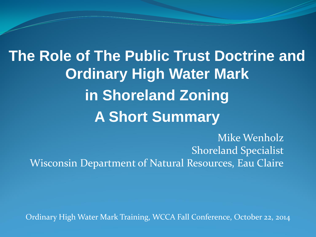**The Role of The Public Trust Doctrine and Ordinary High Water Mark in Shoreland Zoning A Short Summary**

Mike Wenholz Shoreland Specialist Wisconsin Department of Natural Resources, Eau Claire

Ordinary High Water Mark Training, WCCA Fall Conference, October 22, 2014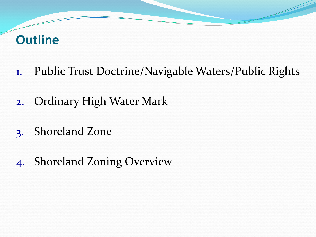# **Outline**

- 1. Public Trust Doctrine/Navigable Waters/Public Rights
- 2. Ordinary High Water Mark
- 3. Shoreland Zone
- 4. Shoreland Zoning Overview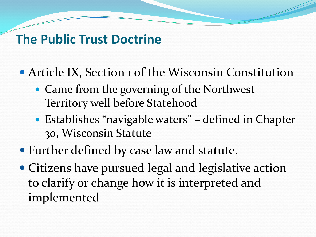- Article IX, Section 1 of the Wisconsin Constitution
	- Came from the governing of the Northwest Territory well before Statehood
	- Establishes "navigable waters" defined in Chapter 30, Wisconsin Statute
- Further defined by case law and statute.
- Citizens have pursued legal and legislative action to clarify or change how it is interpreted and implemented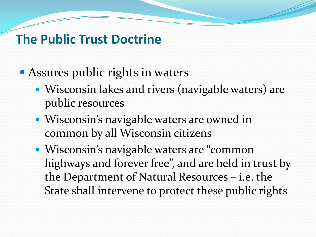- Assures public rights in waters
	- Wisconsin lakes and rivers (navigable waters) are public resources
	- Wisconsin's navigable waters are owned in common by all Wisconsin citizens
	- Wisconsin's navigable waters are "common highways and forever free", and are held in trust by the Department of Natural Resources – i.e. the State shall intervene to protect these public rights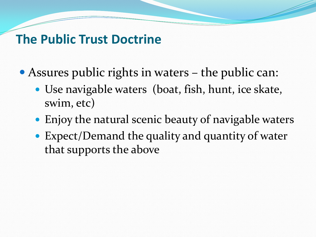- Assures public rights in waters the public can:
	- Use navigable waters (boat, fish, hunt, ice skate, swim, etc)
	- Enjoy the natural scenic beauty of navigable waters
	- Expect/Demand the quality and quantity of water that supports the above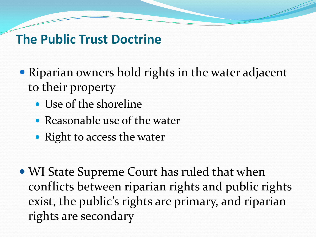- Riparian owners hold rights in the water adjacent to their property
	- Use of the shoreline
	- Reasonable use of the water
	- Right to access the water
- WI State Supreme Court has ruled that when conflicts between riparian rights and public rights exist, the public's rights are primary, and riparian rights are secondary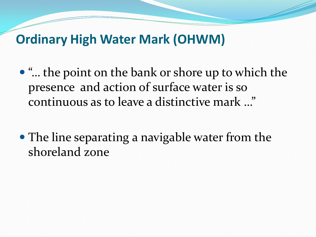## **Ordinary High Water Mark (OHWM)**

- "... the point on the bank or shore up to which the presence and action of surface water is so continuous as to leave a distinctive mark …"
- The line separating a navigable water from the shoreland zone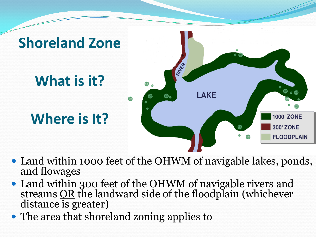

- Land within 1000 feet of the OHWM of navigable lakes, ponds, and flowages
- Land within 300 feet of the OHWM of navigable rivers and streams OR the landward side of the floodplain (whichever distance is greater)
- The area that shoreland zoning applies to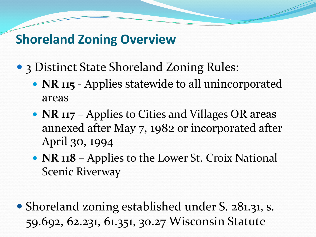## **Shoreland Zoning Overview**

- 3 Distinct State Shoreland Zoning Rules:
	- **NR 115**  Applies statewide to all unincorporated areas
	- **NR 117** Applies to Cities and Villages OR areas annexed after May 7, 1982 or incorporated after April 30, 1994
	- **NR 118** Applies to the Lower St. Croix National Scenic Riverway
- Shoreland zoning established under S. 281.31, s. 59.692, 62.231, 61.351, 30.27 Wisconsin Statute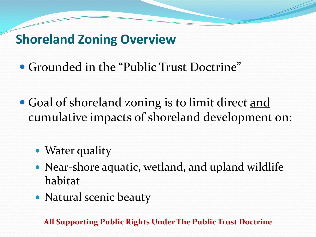# **Shoreland Zoning Overview**

- Grounded in the "Public Trust Doctrine"
- Goal of shoreland zoning is to limit direct and cumulative impacts of shoreland development on:
	- Water quality
	- Near-shore aquatic, wetland, and upland wildlife habitat
	- Natural scenic beauty

**All Supporting Public Rights Under The Public Trust Doctrine**